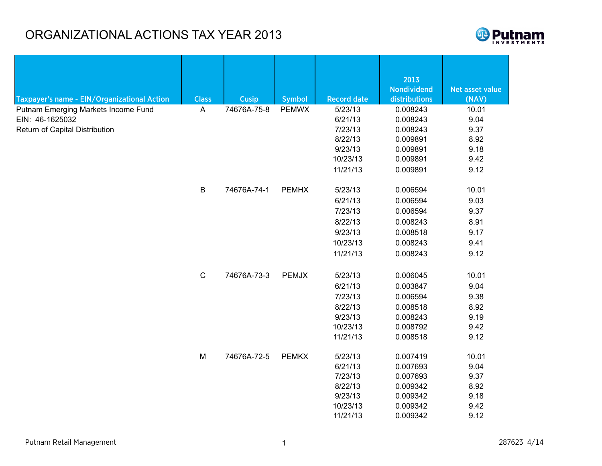## ORGANIZATIONAL ACTIONS TAX YEAR 2013



|                                                                                          |              |              |               |                    | 2013               |                 |
|------------------------------------------------------------------------------------------|--------------|--------------|---------------|--------------------|--------------------|-----------------|
|                                                                                          |              |              |               |                    | <b>Nondividend</b> | Net asset value |
| Taxpayer's name - EIN/Organizational Action                                              | <b>Class</b> | <b>Cusip</b> | <b>Symbol</b> | <b>Record date</b> | distributions      | (NAV)           |
| Putnam Emerging Markets Income Fund<br>EIN: 46-1625032<br>Return of Capital Distribution | A            | 74676A-75-8  | <b>PEMWX</b>  | 5/23/13            | 0.008243           | 10.01           |
|                                                                                          |              |              |               | 6/21/13            | 0.008243           | 9.04            |
|                                                                                          |              |              |               | 7/23/13            | 0.008243           | 9.37            |
|                                                                                          |              |              |               | 8/22/13            | 0.009891           | 8.92<br>9.18    |
|                                                                                          |              |              |               | 9/23/13            | 0.009891           |                 |
|                                                                                          |              |              |               | 10/23/13           | 0.009891           | 9.42            |
|                                                                                          |              |              |               | 11/21/13           | 0.009891           | 9.12            |
|                                                                                          | $\sf B$      | 74676A-74-1  | <b>PEMHX</b>  | 5/23/13            | 0.006594           | 10.01           |
|                                                                                          |              |              |               | 6/21/13            | 0.006594           | 9.03            |
|                                                                                          |              |              |               | 7/23/13            | 0.006594           | 9.37            |
|                                                                                          |              |              |               | 8/22/13            | 0.008243           | 8.91            |
|                                                                                          |              |              |               | 9/23/13            | 0.008518           | 9.17            |
|                                                                                          |              |              |               | 10/23/13           | 0.008243           | 9.41            |
|                                                                                          |              |              |               | 11/21/13           | 0.008243           | 9.12            |
|                                                                                          | $\mathsf C$  | 74676A-73-3  | <b>PEMJX</b>  | 5/23/13            | 0.006045           | 10.01           |
|                                                                                          |              |              |               | 6/21/13            | 0.003847           | 9.04            |
|                                                                                          |              |              |               | 7/23/13            | 0.006594           | 9.38            |
|                                                                                          |              |              |               | 8/22/13            | 0.008518           | 8.92            |
|                                                                                          |              |              |               | 9/23/13            | 0.008243           | 9.19            |
|                                                                                          |              |              |               | 10/23/13           | 0.008792           | 9.42            |
|                                                                                          |              |              |               | 11/21/13           | 0.008518           | 9.12            |
|                                                                                          | M            | 74676A-72-5  | <b>PEMKX</b>  | 5/23/13            | 0.007419           | 10.01           |
|                                                                                          |              |              |               | 6/21/13            | 0.007693           | 9.04            |
|                                                                                          |              |              |               | 7/23/13            | 0.007693           | 9.37            |
|                                                                                          |              |              |               | 8/22/13            | 0.009342           | 8.92            |
|                                                                                          |              |              |               | 9/23/13            | 0.009342           | 9.18            |
|                                                                                          |              |              |               | 10/23/13           | 0.009342           | 9.42            |
|                                                                                          |              |              |               | 11/21/13           | 0.009342           | 9.12            |